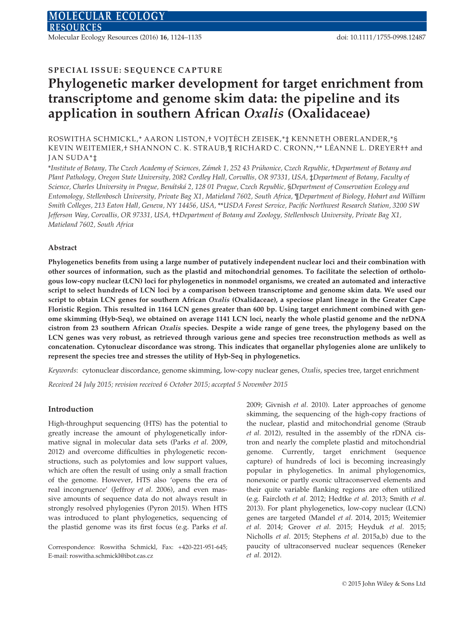Molecular Ecology Resources (2016) 16, 1124–1135 doi: 10.1111/1755-0998.12487

# SPECIAL ISSUE: SEQUENCE CAPTURE

# Phylogenetic marker development for target enrichment from transcriptome and genome skim data: the pipeline and its application in southern African Oxalis (Oxalidaceae)

## ROSWITHA SCHMICKL,\* AARON LISTON,† VOJTECH ZE ISEK,\*‡ KENNETH OBERLANDER,\*§ KEVIN WEITEMIER,† SHANNON C. K. STRAUB,¶ RICHARD C. CRONN,\*\* LEANNE L. DREYER†† and JAN SUDA\*‡

\*Institute of Botany, The Czech Academy of Sciences, Zamek 1, 252 43 Pruhonice, Czech Republic, †Department of Botany and Plant Pathology, Oregon State University, 2082 Cordley Hall, Corvallis, OR 97331, USA, ‡Department of Botany, Faculty of Science, Charles University in Prague, Benatska 2, 128 01 Prague, Czech Republic, §Department of Conservation Ecology and Entomology, Stellenbosch University, Private Bag X1, Matieland 7602, South Africa, ¶Department of Biology, Hobart and William Smith Colleges, 213 Eaton Hall, Geneva, NY 14456, USA, \*\*USDA Forest Service, Pacific Northwest Research Station, 3200 SW Jefferson Way, Corvallis, OR 97331, USA, ††Department of Botany and Zoology, Stellenbosch University, Private Bag X1, Matieland 7602, South Africa

## Abstract

Phylogenetics benefits from using a large number of putatively independent nuclear loci and their combination with other sources of information, such as the plastid and mitochondrial genomes. To facilitate the selection of orthologous low-copy nuclear (LCN) loci for phylogenetics in nonmodel organisms, we created an automated and interactive script to select hundreds of LCN loci by a comparison between transcriptome and genome skim data. We used our script to obtain LCN genes for southern African Oxalis (Oxalidaceae), a speciose plant lineage in the Greater Cape Floristic Region. This resulted in 1164 LCN genes greater than 600 bp. Using target enrichment combined with genome skimming (Hyb-Seq), we obtained on average 1141 LCN loci, nearly the whole plastid genome and the nrDNA cistron from 23 southern African Oxalis species. Despite a wide range of gene trees, the phylogeny based on the LCN genes was very robust, as retrieved through various gene and species tree reconstruction methods as well as concatenation. Cytonuclear discordance was strong. This indicates that organellar phylogenies alone are unlikely to represent the species tree and stresses the utility of Hyb-Seq in phylogenetics.

Keywords: cytonuclear discordance, genome skimming, low-copy nuclear genes, Oxalis, species tree, target enrichment

Received 24 July 2015; revision received 6 October 2015; accepted 5 November 2015

## Introduction

High-throughput sequencing (HTS) has the potential to greatly increase the amount of phylogenetically informative signal in molecular data sets (Parks et al. 2009, 2012) and overcome difficulties in phylogenetic reconstructions, such as polytomies and low support values, which are often the result of using only a small fraction of the genome. However, HTS also 'opens the era of real incongruence' (Jeffroy et al. 2006), and even massive amounts of sequence data do not always result in strongly resolved phylogenies (Pyron 2015). When HTS was introduced to plant phylogenetics, sequencing of the plastid genome was its first focus (e.g. Parks et al.

Correspondence: Roswitha Schmickl, Fax: +420-221-951-645; E-mail: roswitha.schmickl@ibot.cas.cz

2009; Givnish et al. 2010). Later approaches of genome skimming, the sequencing of the high-copy fractions of the nuclear, plastid and mitochondrial genome (Straub et al. 2012), resulted in the assembly of the rDNA cistron and nearly the complete plastid and mitochondrial genome. Currently, target enrichment (sequence capture) of hundreds of loci is becoming increasingly popular in phylogenetics. In animal phylogenomics, nonexonic or partly exonic ultraconserved elements and their quite variable flanking regions are often utilized (e.g. Faircloth et al. 2012; Hedtke et al. 2013; Smith et al. 2013). For plant phylogenetics, low-copy nuclear (LCN) genes are targeted (Mandel et al. 2014, 2015; Weitemier et al. 2014; Grover et al. 2015; Heyduk et al. 2015; Nicholls et al. 2015; Stephens et al. 2015a,b) due to the paucity of ultraconserved nuclear sequences (Reneker et al. 2012).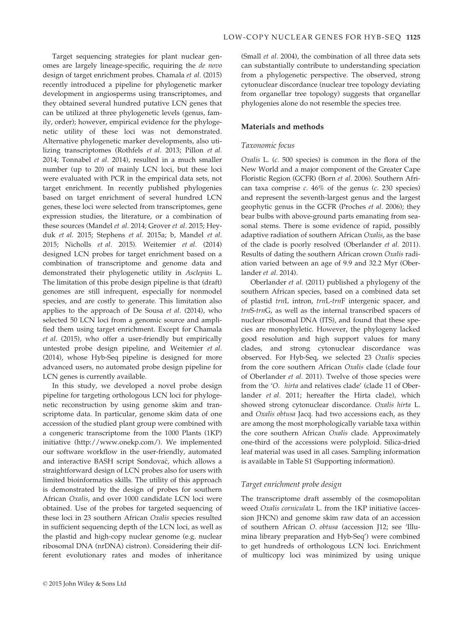Target sequencing strategies for plant nuclear genomes are largely lineage-specific, requiring the de novo design of target enrichment probes. Chamala et al. (2015) recently introduced a pipeline for phylogenetic marker development in angiosperms using transcriptomes, and they obtained several hundred putative LCN genes that can be utilized at three phylogenetic levels (genus, family, order); however, empirical evidence for the phylogenetic utility of these loci was not demonstrated. Alternative phylogenetic marker developments, also utilizing transcriptomes (Rothfels et al. 2013; Pillon et al. 2014; Tonnabel et al. 2014), resulted in a much smaller number (up to 20) of mainly LCN loci, but these loci were evaluated with PCR in the empirical data sets, not target enrichment. In recently published phylogenies based on target enrichment of several hundred LCN genes, these loci were selected from transcriptomes, gene expression studies, the literature, or a combination of these sources (Mandel et al. 2014; Grover et al. 2015; Heyduk et al. 2015; Stephens et al. 2015a; b, Mandel et al. 2015; Nicholls et al. 2015). Weitemier et al. (2014) designed LCN probes for target enrichment based on a combination of transcriptome and genome data and demonstrated their phylogenetic utility in Asclepias L. The limitation of this probe design pipeline is that (draft) genomes are still infrequent, especially for nonmodel species, and are costly to generate. This limitation also applies to the approach of De Sousa et al. (2014), who selected 50 LCN loci from a genomic source and amplified them using target enrichment. Except for Chamala et al. (2015), who offer a user-friendly but empirically untested probe design pipeline, and Weitemier et al. (2014), whose Hyb-Seq pipeline is designed for more advanced users, no automated probe design pipeline for LCN genes is currently available.

In this study, we developed a novel probe design pipeline for targeting orthologous LCN loci for phylogenetic reconstruction by using genome skim and transcriptome data. In particular, genome skim data of one accession of the studied plant group were combined with a congeneric transcriptome from the 1000 Plants (1KP) initiative ([http://www.onekp.com/\)](http://www.onekp.com/). We implemented our software workflow in the user-friendly, automated and interactive BASH script Sondovač, which allows a straightforward design of LCN probes also for users with limited bioinformatics skills. The utility of this approach is demonstrated by the design of probes for southern African Oxalis, and over 1000 candidate LCN loci were obtained. Use of the probes for targeted sequencing of these loci in 23 southern African Oxalis species resulted in sufficient sequencing depth of the LCN loci, as well as the plastid and high-copy nuclear genome (e.g. nuclear ribosomal DNA (nrDNA) cistron). Considering their different evolutionary rates and modes of inheritance

© 2015 John Wiley & Sons Ltd

(Small et al. 2004), the combination of all three data sets can substantially contribute to understanding speciation from a phylogenetic perspective. The observed, strong cytonuclear discordance (nuclear tree topology deviating from organellar tree topology) suggests that organellar phylogenies alone do not resemble the species tree.

#### Materials and methods

#### Taxonomic focus

Oxalis L. (c. 500 species) is common in the flora of the New World and a major component of the Greater Cape Floristic Region (GCFR) (Born et al. 2006). Southern African taxa comprise  $c. 46\%$  of the genus ( $c. 230$  species) and represent the seventh-largest genus and the largest geophytic genus in the GCFR (Proches et al. 2006); they bear bulbs with above-ground parts emanating from seasonal stems. There is some evidence of rapid, possibly adaptive radiation of southern African Oxalis, as the base of the clade is poorly resolved (Oberlander et al. 2011). Results of dating the southern African crown Oxalis radiation varied between an age of 9.9 and 32.2 Myr (Oberlander et al. 2014).

Oberlander et al. (2011) published a phylogeny of the southern African species, based on a combined data set of plastid trnL intron, trnL-trnF intergenic spacer, and trnS-trnG, as well as the internal transcribed spacers of nuclear ribosomal DNA (ITS), and found that these species are monophyletic. However, the phylogeny lacked good resolution and high support values for many clades, and strong cytonuclear discordance was observed. For Hyb-Seq, we selected 23 Oxalis species from the core southern African Oxalis clade (clade four of Oberlander et al. 2011). Twelve of those species were from the 'O. hirta and relatives clade' (clade 11 of Oberlander et al. 2011; hereafter the Hirta clade), which showed strong cytonuclear discordance. Oxalis hirta L. and Oxalis obtusa Jacq. had two accessions each, as they are among the most morphologically variable taxa within the core southern African Oxalis clade. Approximately one-third of the accessions were polyploid. Silica-dried leaf material was used in all cases. Sampling information is available in Table S1 (Supporting information).

#### Target enrichment probe design

The transcriptome draft assembly of the cosmopolitan weed Oxalis corniculata L. from the 1KP initiative (accession JHCN) and genome skim raw data of an accession of southern African O. obtusa (accession J12; see 'Illumina library preparation and Hyb-Seq') were combined to get hundreds of orthologous LCN loci. Enrichment of multicopy loci was minimized by using unique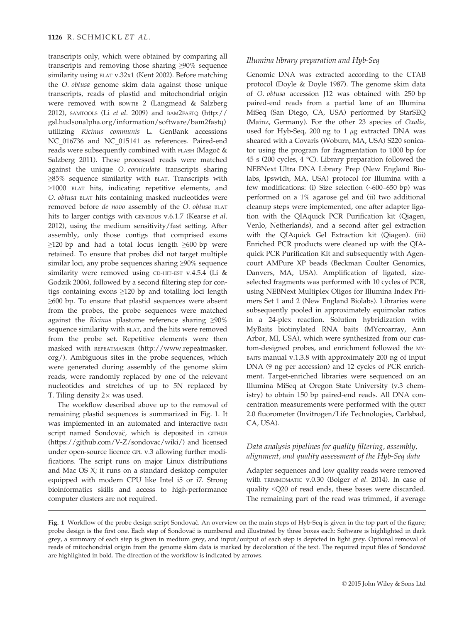transcripts only, which were obtained by comparing all transcripts and removing those sharing ≥90% sequence similarity using BLAT v.32x1 (Kent 2002). Before matching the O. obtusa genome skim data against those unique transcripts, reads of plastid and mitochondrial origin were removed with BOWTIE 2 (Langmead & Salzberg 2012), SAMTOOLS (Li et al. 2009) and BAM2FASTQ [\(http://](http://gsl.hudsonalpha.org/information/software/bam2fastq) [gsl.hudsonalpha.org/information/software/bam2fastq](http://gsl.hudsonalpha.org/information/software/bam2fastq)) utilizing Ricinus communis L. GenBank accessions [NC\\_016736](http://www.ncbi.nlm.nih.gov/nuccore/NC_016736) and [NC\\_015141](http://www.ncbi.nlm.nih.gov/nuccore/NC_015141) as references. Paired-end reads were subsequently combined with FLASH (Magoč & Salzberg 2011). These processed reads were matched against the unique O. corniculata transcripts sharing ≥85% sequence similarity with BLAT. Transcripts with >1000 BLAT hits, indicating repetitive elements, and O. obtusa BLAT hits containing masked nucleotides were removed before de novo assembly of the O. obtusa BLAT hits to larger contigs with GENEIOUS v.6.1.7 (Kearse et al. 2012), using the medium sensitivity/fast setting. After assembly, only those contigs that comprised exons  $\geq$ 120 bp and had a total locus length  $\geq$ 600 bp were retained. To ensure that probes did not target multiple similar loci, any probe sequences sharing ≥90% sequence similarity were removed using CD-HIT-EST v.4.5.4 (Li  $&$ Godzik 2006), followed by a second filtering step for contigs containing exons ≥120 bp and totalling loci length ≥600 bp. To ensure that plastid sequences were absent from the probes, the probe sequences were matched against the Ricinus plastome reference sharing ≥90% sequence similarity with BLAT, and the hits were removed from the probe set. Repetitive elements were then masked with REPEATMASKER [\(http://www.repeatmasker.](http://www.repeatmasker.org/) [org/\)](http://www.repeatmasker.org/). Ambiguous sites in the probe sequences, which were generated during assembly of the genome skim reads, were randomly replaced by one of the relevant nucleotides and stretches of up to 5N replaced by T. Tiling density  $2\times$  was used.

The workflow described above up to the removal of remaining plastid sequences is summarized in Fig. 1. It was implemented in an automated and interactive BASH script named Sondovač, which is deposited in GITHUB [\(https://github.com/V-Z/sondovac/wiki/\)](https://github.com/V-Z/sondovac/wiki/) and licensed under open-source licence GPL v.3 allowing further modifications. The script runs on major Linux distributions and Mac OS X; it runs on a standard desktop computer equipped with modern CPU like Intel i5 or i7. Strong bioinformatics skills and access to high-performance computer clusters are not required.

#### Illumina library preparation and Hyb-Seq

Genomic DNA was extracted according to the CTAB protocol (Doyle & Doyle 1987). The genome skim data of O. obtusa accession J12 was obtained with 250 bp paired-end reads from a partial lane of an Illumina MiSeq (San Diego, CA, USA) performed by StarSEQ (Mainz, Germany). For the other 23 species of Oxalis, used for Hyb-Seq, 200 ng to 1  $\mu$ g extracted DNA was sheared with a Covaris (Woburn, MA, USA) S220 sonicator using the program for fragmentation to 1000 bp for 45 s (200 cycles, 4 °C). Library preparation followed the NEBNext Ultra DNA Library Prep (New England Biolabs, Ipswich, MA, USA) protocol for Illumina with a few modifications: (i) Size selection (~600–650 bp) was performed on a 1% agarose gel and (ii) two additional cleanup steps were implemented, one after adapter ligation with the QIAquick PCR Purification kit (Qiagen, Venlo, Netherlands), and a second after gel extraction with the QIAquick Gel Extraction kit (Qiagen). (iii) Enriched PCR products were cleaned up with the QIAquick PCR Purification Kit and subsequently with Agencourt AMPure XP beads (Beckman Coulter Genomics, Danvers, MA, USA). Amplification of ligated, sizeselected fragments was performed with 10 cycles of PCR, using NEBNext Multiplex Oligos for Illumina Index Primers Set 1 and 2 (New England Biolabs). Libraries were subsequently pooled in approximately equimolar ratios in a 24-plex reaction. Solution hybridization with MyBaits biotinylated RNA baits (MYcroarray, Ann Arbor, MI, USA), which were synthesized from our custom-designed probes, and enrichment followed the MY-BAITS manual v.1.3.8 with approximately 200 ng of input DNA (9 ng per accession) and 12 cycles of PCR enrichment. Target-enriched libraries were sequenced on an Illumina MiSeq at Oregon State University (v.3 chemistry) to obtain 150 bp paired-end reads. All DNA concentration measurements were performed with the QUBIT 2.0 fluorometer (Invitrogen/Life Technologies, Carlsbad, CA, USA).

## Data analysis pipelines for quality filtering, assembly, alignment, and quality assessment of the Hyb-Seq data

Adapter sequences and low quality reads were removed with TRIMMOMATIC v.0.30 (Bolger et al. 2014). In case of quality <Q20 of read ends, these bases were discarded. The remaining part of the read was trimmed, if average

Fig. 1 Workflow of the probe design script Sondovač. An overview on the main steps of Hyb-Seq is given in the top part of the figure; probe design is the first one. Each step of Sondovac is numbered and illustrated by three boxes each: Software is highlighted in dark grey, a summary of each step is given in medium grey, and input/output of each step is depicted in light grey. Optional removal of reads of mitochondrial origin from the genome skim data is marked by decoloration of the text. The required input files of Sondovac are highlighted in bold. The direction of the workflow is indicated by arrows.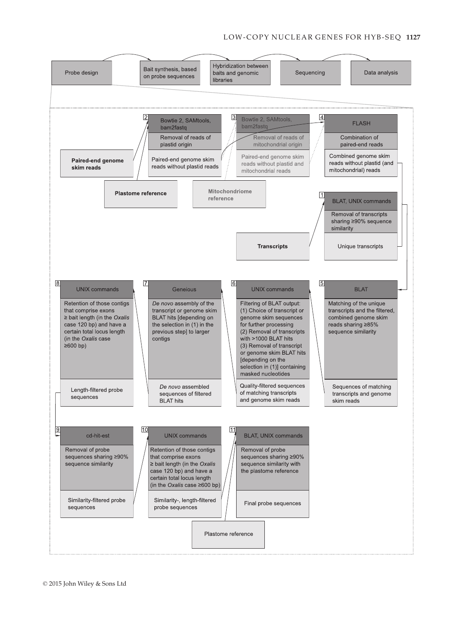## LOW-COPY NUCLEAR GENES FOR HYB-SEQ 1127

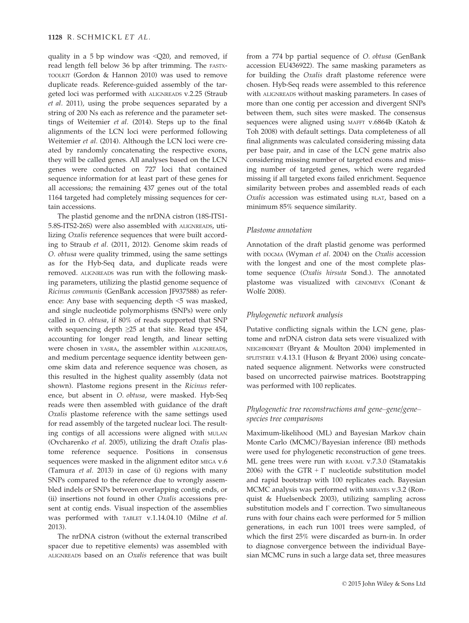quality in a 5 bp window was <Q20, and removed, if read length fell below 36 bp after trimming. The FASTX-TOOLKIT (Gordon & Hannon 2010) was used to remove duplicate reads. Reference-guided assembly of the targeted loci was performed with ALIGNREADS v.2.25 (Straub et al. 2011), using the probe sequences separated by a string of 200 Ns each as reference and the parameter settings of Weitemier et al. (2014). Steps up to the final alignments of the LCN loci were performed following Weitemier et al. (2014). Although the LCN loci were created by randomly concatenating the respective exons, they will be called genes. All analyses based on the LCN genes were conducted on 727 loci that contained sequence information for at least part of these genes for all accessions; the remaining 437 genes out of the total 1164 targeted had completely missing sequences for certain accessions.

The plastid genome and the nrDNA cistron (18S-ITS1- 5.8S-ITS2-26S) were also assembled with ALIGNREADS, utilizing Oxalis reference sequences that were built according to Straub et al. (2011, 2012). Genome skim reads of O. obtusa were quality trimmed, using the same settings as for the Hyb-Seq data, and duplicate reads were removed. ALIGNREADS was run with the following masking parameters, utilizing the plastid genome sequence of Ricinus communis (GenBank accession [JF937588](http://www.ncbi.nlm.nih.gov/nuccore/JF937588)) as reference: Any base with sequencing depth <5 was masked, and single nucleotide polymorphisms (SNPs) were only called in O. obtusa, if 80% of reads supported that SNP with sequencing depth  $\geq 25$  at that site. Read type 454, accounting for longer read length, and linear setting were chosen in YASRA, the assembler within ALIGNREADS, and medium percentage sequence identity between genome skim data and reference sequence was chosen, as this resulted in the highest quality assembly (data not shown). Plastome regions present in the Ricinus reference, but absent in O. obtusa, were masked. Hyb-Seq reads were then assembled with guidance of the draft Oxalis plastome reference with the same settings used for read assembly of the targeted nuclear loci. The resulting contigs of all accessions were aligned with MULAN (Ovcharenko et al. 2005), utilizing the draft Oxalis plastome reference sequence. Positions in consensus sequences were masked in the alignment editor MEGA v.6 (Tamura et al. 2013) in case of (i) regions with many SNPs compared to the reference due to wrongly assembled indels or SNPs between overlapping contig ends, or (ii) insertions not found in other Oxalis accessions present at contig ends. Visual inspection of the assemblies was performed with TABLET v.1.14.04.10 (Milne et al. 2013).

The nrDNA cistron (without the external transcribed spacer due to repetitive elements) was assembled with ALIGNREADS based on an Oxalis reference that was built

from a 774 bp partial sequence of O. obtusa (GenBank accession [EU436922\)](http://www.ncbi.nlm.nih.gov/nuccore/EU436922). The same masking parameters as for building the Oxalis draft plastome reference were chosen. Hyb-Seq reads were assembled to this reference with ALIGNREADS without masking parameters. In cases of more than one contig per accession and divergent SNPs between them, such sites were masked. The consensus sequences were aligned using MAFFT v.6864b (Katoh & Toh 2008) with default settings. Data completeness of all final alignments was calculated considering missing data per base pair, and in case of the LCN gene matrix also considering missing number of targeted exons and missing number of targeted genes, which were regarded missing if all targeted exons failed enrichment. Sequence similarity between probes and assembled reads of each Oxalis accession was estimated using BLAT, based on a minimum 85% sequence similarity.

#### Plastome annotation

Annotation of the draft plastid genome was performed with DOGMA (Wyman et al. 2004) on the Oxalis accession with the longest and one of the most complete plastome sequence (Oxalis hirsuta Sond.). The annotated plastome was visualized with GENOMEVX (Conant & Wolfe 2008).

#### Phylogenetic network analysis

Putative conflicting signals within the LCN gene, plastome and nrDNA cistron data sets were visualized with NEIGHBORNET (Bryant & Moulton 2004) implemented in SPLITSTREE v.4.13.1 (Huson & Bryant 2006) using concatenated sequence alignment. Networks were constructed based on uncorrected pairwise matrices. Bootstrapping was performed with 100 replicates.

#### Phylogenetic tree reconstructions and gene–gene/gene– species tree comparisons

Maximum-likelihood (ML) and Bayesian Markov chain Monte Carlo (MCMC)/Bayesian inference (BI) methods were used for phylogenetic reconstruction of gene trees. ML gene trees were run with RAXML v.7.3.0 (Stamatakis 2006) with the GTR +  $\Gamma$  nucleotide substitution model and rapid bootstrap with 100 replicates each. Bayesian MCMC analysis was performed with MRBAYES v.3.2 (Ronquist & Huelsenbeck 2003), utilizing sampling across substitution models and Г correction. Two simultaneous runs with four chains each were performed for 5 million generations, in each run 1001 trees were sampled, of which the first 25% were discarded as burn-in. In order to diagnose convergence between the individual Bayesian MCMC runs in such a large data set, three measures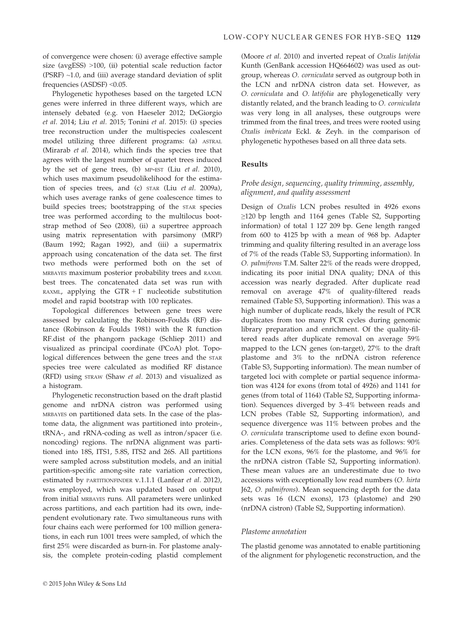of convergence were chosen: (i) average effective sample size (avgESS) >100, (ii) potential scale reduction factor (PSRF)  $\sim$ 1.0, and (iii) average standard deviation of split frequencies (ASDSF) <0.05.

Phylogenetic hypotheses based on the targeted LCN genes were inferred in three different ways, which are intensely debated (e.g. von Haeseler 2012; DeGiorgio et al. 2014; Liu et al. 2015; Tonini et al. 2015): (i) species tree reconstruction under the multispecies coalescent model utilizing three different programs: (a) ASTRAL (Mirarab et al. 2014), which finds the species tree that agrees with the largest number of quartet trees induced by the set of gene trees, (b) MP-EST (Liu et al. 2010), which uses maximum pseudolikelihood for the estimation of species trees, and (c) STAR (Liu et al. 2009a), which uses average ranks of gene coalescence times to build species trees; bootstrapping of the STAR species tree was performed according to the multilocus bootstrap method of Seo (2008), (ii) a supertree approach using matrix representation with parsimony (MRP) (Baum 1992; Ragan 1992), and (iii) a supermatrix approach using concatenation of the data set. The first two methods were performed both on the set of MRBAYES maximum posterior probability trees and RAXML best trees. The concatenated data set was run with RAXML, applying the GTR +  $\Gamma$  nucleotide substitution model and rapid bootstrap with 100 replicates.

Topological differences between gene trees were assessed by calculating the Robinson-Foulds (RF) distance (Robinson & Foulds 1981) with the R function RF.dist of the phangorn package (Schliep 2011) and visualized as principal coordinate (PCoA) plot. Topological differences between the gene trees and the STAR species tree were calculated as modified RF distance (RFD) using STRAW (Shaw et al. 2013) and visualized as a histogram.

Phylogenetic reconstruction based on the draft plastid genome and nrDNA cistron was performed using MRBAYES on partitioned data sets. In the case of the plastome data, the alignment was partitioned into protein-, tRNA-, and rRNA-coding as well as intron/spacer (i.e. noncoding) regions. The nrDNA alignment was partitioned into 18S, ITS1, 5.8S, ITS2 and 26S. All partitions were sampled across substitution models, and an initial partition-specific among-site rate variation correction, estimated by PARTITIONFINDER v.1.1.1 (Lanfear et al. 2012), was employed, which was updated based on output from initial MRBAYES runs. All parameters were unlinked across partitions, and each partition had its own, independent evolutionary rate. Two simultaneous runs with four chains each were performed for 100 million generations, in each run 1001 trees were sampled, of which the first 25% were discarded as burn-in. For plastome analysis, the complete protein-coding plastid complement

(Moore et al. 2010) and inverted repeat of Oxalis latifolia Kunth (GenBank accession [HQ664602](http://www.ncbi.nlm.nih.gov/nuccore/HQ664602)) was used as outgroup, whereas O. corniculata served as outgroup both in the LCN and nrDNA cistron data set. However, as O. corniculata and O. latifolia are phylogenetically very distantly related, and the branch leading to O. corniculata was very long in all analyses, these outgroups were trimmed from the final trees, and trees were rooted using Oxalis imbricata Eckl. & Zeyh. in the comparison of phylogenetic hypotheses based on all three data sets.

## Results

#### Probe design, sequencing, quality trimming, assembly, alignment, and quality assessment

Design of Oxalis LCN probes resulted in 4926 exons ≥120 bp length and 1164 genes (Table S2, Supporting information) of total 1 127 209 bp. Gene length ranged from 600 to 4125 bp with a mean of 968 bp. Adapter trimming and quality filtering resulted in an average loss of 7% of the reads (Table S3, Supporting information). In O. palmifrons T.M. Salter 22% of the reads were dropped, indicating its poor initial DNA quality; DNA of this accession was nearly degraded. After duplicate read removal on average 47% of quality-filtered reads remained (Table S3, Supporting information). This was a high number of duplicate reads, likely the result of PCR duplicates from too many PCR cycles during genomic library preparation and enrichment. Of the quality-filtered reads after duplicate removal on average 59% mapped to the LCN genes (on-target), 27% to the draft plastome and 3% to the nrDNA cistron reference (Table S3, Supporting information). The mean number of targeted loci with complete or partial sequence information was 4124 for exons (from total of 4926) and 1141 for genes (from total of 1164) (Table S2, Supporting information). Sequences diverged by 3–4% between reads and LCN probes (Table S2, Supporting information), and sequence divergence was 11% between probes and the O. corniculata transcriptome used to define exon boundaries. Completeness of the data sets was as follows: 90% for the LCN exons, 96% for the plastome, and 96% for the nrDNA cistron (Table S2, Supporting information). These mean values are an underestimate due to two accessions with exceptionally low read numbers (O. hirta J62, O. palmifrons). Mean sequencing depth for the data sets was 16 (LCN exons), 173 (plastome) and 290 (nrDNA cistron) (Table S2, Supporting information).

#### Plastome annotation

The plastid genome was annotated to enable partitioning of the alignment for phylogenetic reconstruction, and the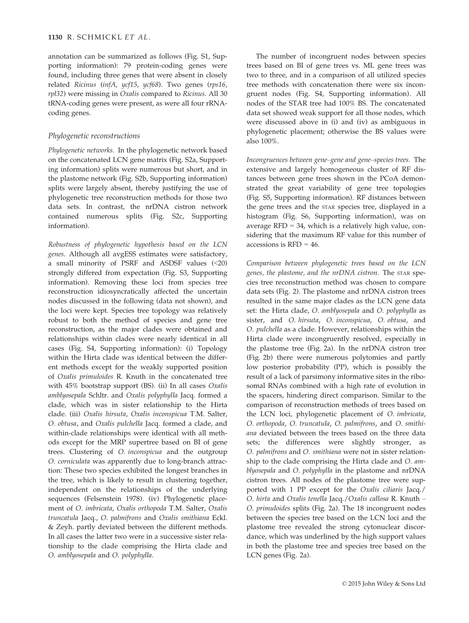annotation can be summarized as follows (Fig. S1, Supporting information): 79 protein-coding genes were found, including three genes that were absent in closely related Ricinus (infA, ycf15, ycf68). Two genes (rps16, rpl32) were missing in Oxalis compared to Ricinus. All 30 tRNA-coding genes were present, as were all four rRNAcoding genes.

## Phylogenetic reconstructions

Phylogenetic networks. In the phylogenetic network based on the concatenated LCN gene matrix (Fig. S2a, Supporting information) splits were numerous but short, and in the plastome network (Fig. S2b, Supporting information) splits were largely absent, thereby justifying the use of phylogenetic tree reconstruction methods for those two data sets. In contrast, the nrDNA cistron network contained numerous splits (Fig. S2c, Supporting information).

Robustness of phylogenetic hypothesis based on the LCN genes. Although all avgESS estimates were satisfactory, a small minority of PSRF and ASDSF values (<20) strongly differed from expectation (Fig. S3, Supporting information). Removing these loci from species tree reconstruction idiosyncratically affected the uncertain nodes discussed in the following (data not shown), and the loci were kept. Species tree topology was relatively robust to both the method of species and gene tree reconstruction, as the major clades were obtained and relationships within clades were nearly identical in all cases (Fig. S4, Supporting information): (i) Topology within the Hirta clade was identical between the different methods except for the weakly supported position of Oxalis primuloides R. Knuth in the concatenated tree with 45% bootstrap support (BS). (ii) In all cases Oxalis amblyosepala Schltr. and Oxalis polyphylla Jacq. formed a clade, which was in sister relationship to the Hirta clade. (iii) Oxalis hirsuta, Oxalis inconspicua T.M. Salter, O. obtusa, and Oxalis pulchella Jacq. formed a clade, and within-clade relationships were identical with all methods except for the MRP supertree based on BI of gene trees. Clustering of O. inconspicua and the outgroup O. corniculata was apparently due to long-branch attraction: These two species exhibited the longest branches in the tree, which is likely to result in clustering together, independent on the relationships of the underlying sequences (Felsenstein 1978). (iv) Phylogenetic placement of O. imbricata, Oxalis orthopoda T.M. Salter, Oxalis truncatula Jacq., O. palmifrons and Oxalis smithiana Eckl. & Zeyh. partly deviated between the different methods. In all cases the latter two were in a successive sister relationship to the clade comprising the Hirta clade and O. amblyosepala and O. polyphylla.

The number of incongruent nodes between species trees based on BI of gene trees vs. ML gene trees was two to three, and in a comparison of all utilized species tree methods with concatenation there were six incongruent nodes (Fig. S4, Supporting information). All nodes of the STAR tree had 100% BS. The concatenated data set showed weak support for all those nodes, which were discussed above in (i) and (iv) as ambiguous in phylogenetic placement; otherwise the BS values were also 100%.

Incongruences between gene–gene and gene–species trees. The extensive and largely homogeneous cluster of RF distances between gene trees shown in the PCoA demonstrated the great variability of gene tree topologies (Fig. S5, Supporting information). RF distances between the gene trees and the STAR species tree, displayed in a histogram (Fig. S6, Supporting information), was on average  $RFD = 34$ , which is a relatively high value, considering that the maximum RF value for this number of accessions is RFD = 46.

Comparison between phylogenetic trees based on the LCN genes, the plastome, and the nrDNA cistron. The STAR species tree reconstruction method was chosen to compare data sets (Fig. 2). The plastome and nrDNA cistron trees resulted in the same major clades as the LCN gene data set: the Hirta clade, O. amblyosepala and O. polyphylla as sister, and O. hirsuta, O. inconspicua, O. obtusa, and O. pulchella as a clade. However, relationships within the Hirta clade were incongruently resolved, especially in the plastome tree (Fig. 2a). In the nrDNA cistron tree (Fig. 2b) there were numerous polytomies and partly low posterior probability (PP), which is possibly the result of a lack of parsimony informative sites in the ribosomal RNAs combined with a high rate of evolution in the spacers, hindering direct comparison. Similar to the comparison of reconstruction methods of trees based on the LCN loci, phylogenetic placement of O. imbricata, O. orthopoda, O. truncatula, O. palmifrons, and O. smithiana deviated between the trees based on the three data sets; the differences were slightly stronger, as O. palmifrons and O. smithiana were not in sister relationship to the clade comprising the Hirta clade and O. amblyosepala and O. polyphylla in the plastome and nrDNA cistron trees. All nodes of the plastome tree were supported with 1 PP except for the Oxalis ciliaris Jacq./ O. hirta and Oxalis tenella Jacq./Oxalis callosa R. Knuth – O. primuloides splits (Fig. 2a). The 18 incongruent nodes between the species tree based on the LCN loci and the plastome tree revealed the strong cytonuclear discordance, which was underlined by the high support values in both the plastome tree and species tree based on the LCN genes (Fig. 2a).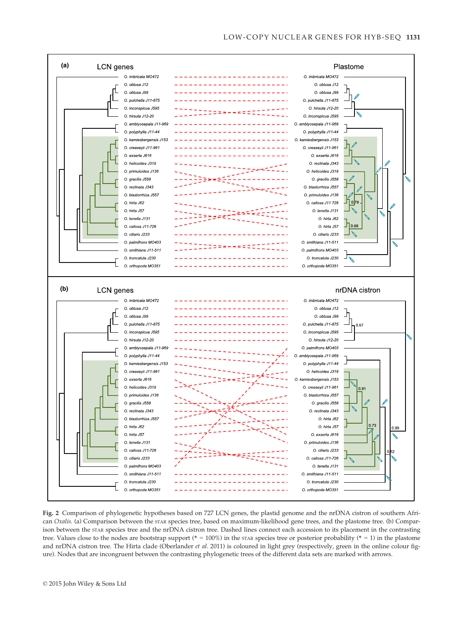

Fig. 2 Comparison of phylogenetic hypotheses based on 727 LCN genes, the plastid genome and the nrDNA cistron of southern African Oxalis. (a) Comparison between the STAR species tree, based on maximum-likelihood gene trees, and the plastome tree. (b) Comparison between the STAR species tree and the nrDNA cistron tree. Dashed lines connect each accession to its placement in the contrasting tree. Values close to the nodes are bootstrap support (\* = 100%) in the star species tree or posterior probability (\* = 1) in the plastome and nrDNA cistron tree. The Hirta clade (Oberlander et al. 2011) is coloured in light grey (respectively, green in the online colour figure). Nodes that are incongruent between the contrasting phylogenetic trees of the different data sets are marked with arrows.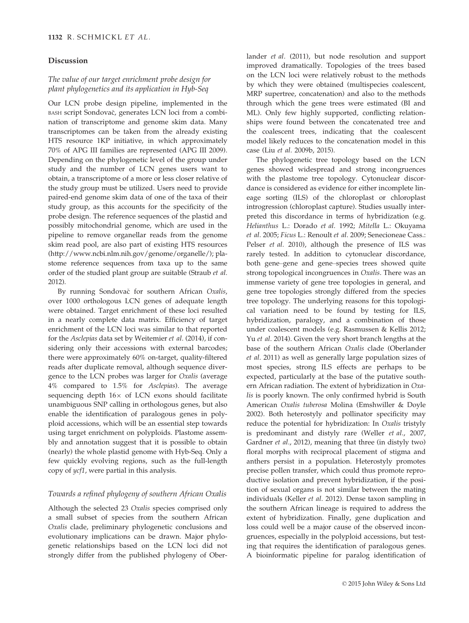#### Discussion

## The value of our target enrichment probe design for plant phylogenetics and its application in Hyb-Seq

Our LCN probe design pipeline, implemented in the BASH script Sondovač, generates LCN loci from a combination of transcriptome and genome skim data. Many transcriptomes can be taken from the already existing HTS resource 1KP initiative, in which approximately 70% of APG III families are represented (APG III 2009). Depending on the phylogenetic level of the group under study and the number of LCN genes users want to obtain, a transcriptome of a more or less closer relative of the study group must be utilized. Users need to provide paired-end genome skim data of one of the taxa of their study group, as this accounts for the specificity of the probe design. The reference sequences of the plastid and possibly mitochondrial genome, which are used in the pipeline to remove organellar reads from the genome skim read pool, are also part of existing HTS resources [\(http://www.ncbi.nlm.nih.gov/genome/organelle/](http://www.ncbi.nlm.nih.gov/genome/organelle/)); plastome reference sequences from taxa up to the same order of the studied plant group are suitable (Straub et al. 2012).

By running Sondovač for southern African Oxalis, over 1000 orthologous LCN genes of adequate length were obtained. Target enrichment of these loci resulted in a nearly complete data matrix. Efficiency of target enrichment of the LCN loci was similar to that reported for the Asclepias data set by Weitemier et al. (2014), if considering only their accessions with external barcodes; there were approximately 60% on-target, quality-filtered reads after duplicate removal, although sequence divergence to the LCN probes was larger for Oxalis (average 4% compared to 1.5% for Asclepias). The average sequencing depth  $16\times$  of LCN exons should facilitate unambiguous SNP calling in orthologous genes, but also enable the identification of paralogous genes in polyploid accessions, which will be an essential step towards using target enrichment on polyploids. Plastome assembly and annotation suggest that it is possible to obtain (nearly) the whole plastid genome with Hyb-Seq. Only a few quickly evolving regions, such as the full-length copy of ycf1, were partial in this analysis.

## Towards a refined phylogeny of southern African Oxalis

Although the selected 23 Oxalis species comprised only a small subset of species from the southern African Oxalis clade, preliminary phylogenetic conclusions and evolutionary implications can be drawn. Major phylogenetic relationships based on the LCN loci did not strongly differ from the published phylogeny of Oberlander et al. (2011), but node resolution and support improved dramatically. Topologies of the trees based on the LCN loci were relatively robust to the methods by which they were obtained (multispecies coalescent, MRP supertree, concatenation) and also to the methods through which the gene trees were estimated (BI and ML). Only few highly supported, conflicting relationships were found between the concatenated tree and the coalescent trees, indicating that the coalescent model likely reduces to the concatenation model in this case (Liu et al. 2009b, 2015).

The phylogenetic tree topology based on the LCN genes showed widespread and strong incongruences with the plastome tree topology. Cytonuclear discordance is considered as evidence for either incomplete lineage sorting (ILS) of the chloroplast or chloroplast introgression (chloroplast capture). Studies usually interpreted this discordance in terms of hybridization (e.g. Helianthus L.: Dorado et al. 1992; Mitella L.: Okuyama et al. 2005; Ficus L.: Renoult et al. 2009; Senecioneae Cass.: Pelser et al. 2010), although the presence of ILS was rarely tested. In addition to cytonuclear discordance, both gene–gene and gene–species trees showed quite strong topological incongruences in Oxalis. There was an immense variety of gene tree topologies in general, and gene tree topologies strongly differed from the species tree topology. The underlying reasons for this topological variation need to be found by testing for ILS, hybridization, paralogy, and a combination of those under coalescent models (e.g. Rasmussen & Kellis 2012; Yu et al. 2014). Given the very short branch lengths at the base of the southern African Oxalis clade (Oberlander et al. 2011) as well as generally large population sizes of most species, strong ILS effects are perhaps to be expected, particularly at the base of the putative southern African radiation. The extent of hybridization in Oxalis is poorly known. The only confirmed hybrid is South American Oxalis tuberosa Molina (Emshwiller & Doyle 2002). Both heterostyly and pollinator specificity may reduce the potential for hybridization: In Oxalis tristyly is predominant and distyly rare (Weller et al., 2007, Gardner et al., 2012), meaning that three (in distyly two) floral morphs with reciprocal placement of stigma and anthers persist in a population. Heterostyly promotes precise pollen transfer, which could thus promote reproductive isolation and prevent hybridization, if the position of sexual organs is not similar between the mating individuals (Keller et al. 2012). Dense taxon sampling in the southern African lineage is required to address the extent of hybridization. Finally, gene duplication and loss could well be a major cause of the observed incongruences, especially in the polyploid accessions, but testing that requires the identification of paralogous genes. A bioinformatic pipeline for paralog identification of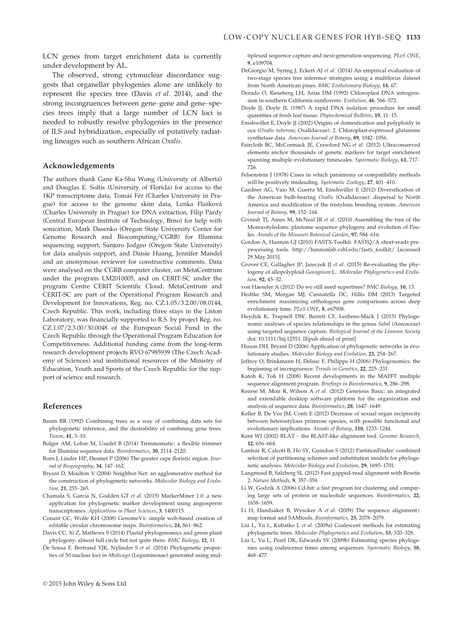LCN genes from target enrichment data is currently under development by AL.

The observed, strong cytonuclear discordance suggests that organellar phylogenies alone are unlikely to represent the species tree (Davis et al. 2014), and the strong incongruences between gene–gene and gene–species trees imply that a large number of LCN loci is needed to robustly resolve phylogenies in the presence of ILS and hybridization, especially of putatively radiating lineages such as southern African Oxalis.

#### Acknowledgements

The authors thank Gane Ka-Shu Wong (University of Alberta) and Douglas E. Soltis (University of Florida) for access to the 1KP transcriptome data, Tomáš Fér (Charles University in Prague) for access to the genome skim data, Lenka Flašková (Charles University in Prague) for DNA extraction, Filip Pardy (Central European Institute of Technology, Brno) for help with sonication, Mark Dasenko (Oregon State University Center for Genome Research and Biocomputing/CGRB) for Illumina sequencing support, Sanjuro Jodgeo (Oregon State University) for data analysis support, and Daisie Huang, Jennifer Mandel and an anonymous reviewer for constructive comments. Data were analysed on the CGRB computer cluster, on MetaCentrum under the program LM2010005, and on CERIT-SC under the program Centre CERIT Scientific Cloud. MetaCentrum and CERIT-SC are part of the Operational Program Research and Development for Innovations, Reg. no. CZ.1.05/3.2.00/08.0144, Czech Republic. This work, including three stays in the Liston Laboratory, was financially supported to R.S. by project Reg. no. CZ.1.07/2.3.00/30.0048 of the European Social Fund in the Czech Republic through the Operational Program Education for Competitiveness. Additional funding came from the long-term research development projects RVO 67985939 (The Czech Academy of Sciences) and institutional resources of the Ministry of Education, Youth and Sports of the Czech Republic for the support of science and research.

#### References

- Baum BR (1992) Combining trees as a way of combining data sets for phylogenetic inference, and the desirability of combining gene trees. Taxon, 41, 3–10.
- Bolger AM, Lohse M, Usadel B (2014) Trimmomatic: a flexible trimmer for Illumina sequence data. Bioinformatics, 30, 2114–2120.
- Born J, Linder HP, Desmet P (2006) The greater cape floristic region. Journal of Biogeography, 34, 147–162.
- Bryant D, Moulton V (2004) Neighbor-Net: an agglomerative method for the construction of phylogenetic networks. Molecular Biology and Evolution, 21, 255-265.
- Chamala S, García N, Godden GT et al. (2015) MarkerMiner 1.0: a new application for phylogenetic marker development using angiosperm transcriptomes. Applications in Plant Sciences, 3, 1400115.
- Conant GC, Wolfe KH (2008) GenomeVx: simple web-based creation of editable circular chromosome maps. Bioinformatics, 24, 861–862.
- Davis CC, Xi Z, Mathews S (2014) Plastid phylogenomics and green plant phylogeny: almost full circle but not quite there. BMC Biology, 12, 11.
- De Sousa F, Bertrand YJK, Nylinder S et al. (2014) Phylogenetic properties of 50 nuclear loci in Medicago (Leguminosae) generated using mul-

tiplexed sequence capture and next-generation sequencing. PLoS ONE, 9, e109704.

- DeGiorgio M, Syring J, Eckert AJ et al. (2014) An empirical evaluation of two-stage species tree inference strategies using a multilocus dataset from North American pines. BMC Evolutionary Biology, 14, 67.
- Dorado O, Rieseberg LH, Arias DM (1992) Chloroplast DNA introgression in southern California sunflowers. Evolution, 46, 566–572.
- Doyle JJ, Doyle JL (1987) A rapid DNA isolation procedure for small quantities of fresh leaf tissue. Phytochemical Bulletin, 19, 11–15.
- Emshwiller E, Doyle JJ (2002) Origins of domestication and polyploidy in oca (Oxalis tuberosa; Oxalidaceae). 2. Chloroplast-expressed glutamine synthetase data. American Journal of Botany, 89, 1042–1056.
- Faircloth BC, McCormack JE, Crawford NG et al. (2012) Ultraconserved elements anchor thousands of genetic markers for target enrichment spanning multiple evolutionary timescales. Systematic Biology, 61, 717– 726.
- Felsenstein J (1978) Cases in which parsimony or compatibility methods will be positively misleading. Systematic Zoology, 27, 401–410.
- Gardner AG, Vaio M, Guerra M, Emshwiller E (2012) Diversification of the American bulb-bearing Oxalis (Oxalidaceae): dispersal to North America and modification of the tristylous breeding system. American Journal of Botany, 99, 152–164.
- Givnish TJ, Ames M, McNeal JR et al. (2010) Assembling the tree of the Monocotyledons: plastome sequence phylogeny and evolution of Poales. Annals of the Missouri Botanical Garden, 97, 584–616.
- Gordon A, Hannon GJ (2010) FASTX-Toolkit. FASTQ/A short-reads preprocessing tools. [http://hannonlab.cshl.edu/fastx\\_toolkit/](http://hannonlab.cshl.edu/fastx_toolkit/) [accessed 29 May 2015].
- Grover CE, Gallagher JP, Jareczek JJ et al. (2015) Re-evaluating the phylogeny of allopolyploid Gossypium L.. Molecular Phylogenetics and Evolution, 92, 45–52.
- von Haeseler A (2012) Do we still need supertrees? BMC Biology, 10, 13.
- Hedtke SM, Morgan MJ, Cannatella DC, Hillis DM (2013) Targeted enrichment: maximizing orthologous gene comparisons across deep evolutionary time. PLoS ONE, 8, e67908.
- Heyduk K, Trapnell DW, Barrett CF, Leebens-Mack J (2015) Phylogenomic analyses of species relationships in the genus Sabal (Arecaceae) using targeted sequence capture. Biological Journal of the Linnean Society doi: [10.1111/bij.12551.](http://dx.doi.org/10.1111/bij.12551) [Epub ahead of print]
- Huson DH, Bryant D (2006) Application of phylogenetic networks in evolutionary studies. Molecular Biology and Evolution, 23, 254–267.
- Jeffroy O, Brinkmann H, Delsuc F, Philippe H (2006) Phylogenomics: the beginning of incongruence. Trends in Genetics, 22, 225–231.
- Katoh K, Toh H (2008) Recent developments in the MAFFT multiple sequence alignment program. Briefings in Bioinformatics, 9, 286–298.
- Kearse M, Moir R, Wilson A et al. (2012) Geneious Basic: an integrated and extendable desktop software platform for the organization and analysis of sequence data. Bioinformatics, 28, 1647–1649.
- Keller B, De Vos JM, Conti E (2012) Decrease of sexual organ reciprocity between heterostylous primrose species, with possible functional and evolutionary implications. Annals of Botany, 110, 1233–1244.
- Kent WJ (2002) BLAT the BLAST-like alignment tool. Genome Research, 12, 656–664.
- Lanfear R, Calcott B, Ho SY, Guindon S (2012) PartitionFinder: combined selection of partitioning schemes and substitution models for phylogenetic analyses. Molecular Biology and Evolution, 29, 1695–1701.
- Langmead B, Salzberg SL (2012) Fast gapped-read alignment with Bowtie 2. Nature Methods, 9, 357–359.
- Li W, Godzik A (2006) Cd-hit: a fast program for clustering and comparing large sets of protein or nucleotide sequences. Bioinformatics, 22, 1658–1659.
- Li H, Handsaker B, Wysoker A et al. (2009) The sequence alignment/ map format and SAMtools. Bioinformatics, 25, 2078–2079.
- Liu L, Yu L, Kubatko L et al. (2009a) Coalescent methods for estimating phylogenetic trees. Molecular Phylogenetics and Evolution, 53, 320–328.
- Liu L, Yu L, Pearl DK, Edwards SV (2009b) Estimating species phylogenies using coalescence times among sequences. Systematic Biology, 58, 468–477.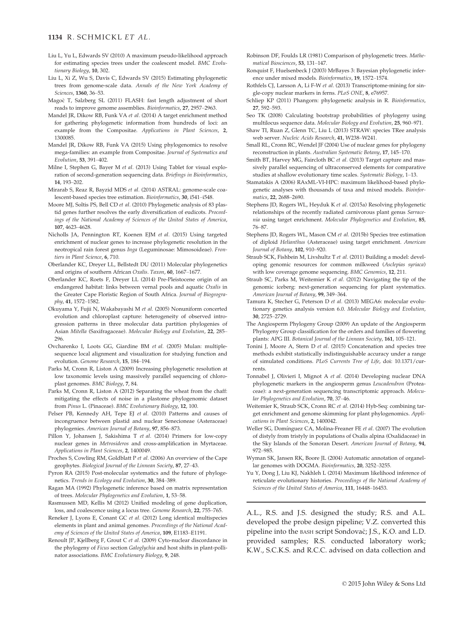#### 1134 R. SCHMICKL ET AL.

- Liu L, Yu L, Edwards SV (2010) A maximum pseudo-likelihood approach for estimating species trees under the coalescent model. BMC Evolutionary Biology, 10, 302.
- Liu L, Xi Z, Wu S, Davis C, Edwards SV (2015) Estimating phylogenetic trees from genome-scale data. Annals of the New York Academy of Sciences, 1360, 36–53.
- Magoc T, Salzberg SL (2011) FLASH: fast length adjustment of short reads to improve genome assemblies. Bioinformatics, 27, 2957–2963.
- Mandel JR, Dikow RB, Funk VA et al. (2014) A target enrichment method for gathering phylogenetic information from hundreds of loci: an example from the Compositae. Applications in Plant Sciences, 2, 1300085.
- Mandel JR, Dikow RB, Funk VA (2015) Using phylogenomics to resolve mega-families: an example from Compositae. Journal of Systematics and Evolution, 53, 391–402.
- Milne I, Stephen G, Bayer M et al. (2013) Using Tablet for visual exploration of second-generation sequencing data. Briefings in Bioinformatics, 14, 193–202.
- Mirarab S, Reaz R, Bayzid MDS et al. (2014) ASTRAL: genome-scale coalescent-based species tree estimation. Bioinformatics, 30, i541–i548.
- Moore MJ, Soltis PS, Bell CD et al. (2010) Phylogenetic analysis of 83 plastid genes further resolves the early diversification of eudicots. Proceedings of the National Academy of Sciences of the United States of America, 107, 4623–4628.
- Nicholls JA, Pennington RT, Koenen EJM et al. (2015) Using targeted enrichment of nuclear genes to increase phylogenetic resolution in the neotropical rain forest genus Inga (Leguminosae: Mimosoideae). Frontiers in Plant Science, 6, 710.
- Oberlander KC, Dreyer LL, Bellstedt DU (2011) Molecular phylogenetics and origins of southern African Oxalis. Taxon, 60, 1667–1677.
- Oberlander KC, Roets F, Dreyer LL (2014) Pre-Pleistocene origin of an endangered habitat: links between vernal pools and aquatic Oxalis in the Greater Cape Floristic Region of South Africa. Journal of Biogeography, 41, 1572–1582.
- Okuyama Y, Fujii N, Wakabayashi M et al. (2005) Nonuniform concerted evolution and chloroplast capture: heterogeneity of observed introgression patterns in three molecular data partition phylogenies of Asian Mitella (Saxifragaceae). Molecular Biology and Evolution, 22, 285– 296.
- Ovcharenko I, Loots GG, Giardine BM et al. (2005) Mulan: multiplesequence local alignment and visualization for studying function and evolution. Genome Research, 15, 184–194.
- Parks M, Cronn R, Liston A (2009) Increasing phylogenetic resolution at low taxonomic levels using massively parallel sequencing of chloroplast genomes. BMC Biology, 7, 84.
- Parks M, Cronn R, Liston A (2012) Separating the wheat from the chaff: mitigating the effects of noise in a plastome phylogenomic dataset from Pinus L. (Pinaceae). BMC Evolutionary Biology, 12, 100.
- Pelser PB, Kennedy AH, Tepe EJ et al. (2010) Patterns and causes of incongruence between plastid and nuclear Senecioneae (Asteraceae) phylogenies. American Journal of Botany, 97, 856–873.
- Pillon Y, Johansen J, Sakishima T et al. (2014) Primers for low-copy nuclear genes in Metrosideros and cross-amplification in Myrtaceae. Applications in Plant Sciences, 2, 1400049.
- Proches S, Cowling RM, Goldblatt P et al. (2006) An overview of the Cape geophytes. Biological Journal of the Linnean Society, 87, 27–43.
- Pyron RA (2015) Post-molecular systematics and the future of phylogenetics. Trends in Ecology and Evolution, 30, 384–389.
- Ragan MA (1992) Phylogenetic inference based on matrix representation of trees. Molecular Phylogenetics and Evolution, 1, 53–58.
- Rasmussen MD, Kellis M (2012) Unified modeling of gene duplication, loss, and coalescence using a locus tree. Genome Research, 22, 755–765.
- Reneker J, Lyons E, Conant GC et al. (2012) Long identical multispecies elements in plant and animal genomes. Proceedings of the National Academy of Sciences of the United States of America, 109, E1183–E1191.
- Renoult JP, Kjellberg F, Grout C et al. (2009) Cyto-nuclear discordance in the phylogeny of Ficus section Galoglychia and host shifts in plant-pollinator associations. BMC Evolutionary Biology, 9, 248.
- Robinson DF, Foulds LR (1981) Comparison of phylogenetic trees. Mathematical Biosciences, 53, 131–147.
- Ronquist F, Huelsenbeck J (2003) MrBayes 3: Bayesian phylogenetic inference under mixed models. Bioinformatics, 19, 1572–1574.
- Rothfels CJ, Larsson A, Li F-W et al. (2013) Transcriptome-mining for single-copy nuclear markers in ferns. PLoS ONE, 8, e76957.
- Schliep KP (2011) Phangorn: phylogenetic analysis in R. Bioinformatics, 27, 592–593.
- Seo TK (2008) Calculating bootstrap probabilities of phylogeny using multilocus sequence data. Molecular Biology and Evolution, 25, 960–971.
- Shaw TI, Ruan Z, Glenn TC, Liu L (2013) STRAW: species TRee analysis web server. Nucleic Acids Research, 41, W238–W241.
- Small RL, Cronn RC, Wendel JF (2004) Use of nuclear genes for phylogeny reconstruction in plants. Australian Systematic Botany, 17, 145–170.
- Smith BT, Harvey MG, Faircloth BC et al. (2013) Target capture and massively parallel sequencing of ultraconserved elements for comparative studies at shallow evolutionary time scales. Systematic Biology, 1–13.
- Stamatakis A (2006) RAxML-VI-HPC: maximum likelihood-based phylogenetic analyses with thousands of taxa and mixed models. Bioinformatics, 22, 2688–2690.
- Stephens JD, Rogers WL, Heyduk K et al. (2015a) Resolving phylogenetic relationships of the recently radiated carnivorous plant genus Sarracenia using target enrichment. Molecular Phylogenetics and Evolution, 85, 76–87.
- Stephens JD, Rogers WL, Mason CM et al. (2015b) Species tree estimation of diploid Helianthus (Asteraceae) using target enrichment. American Journal of Botany, 102, 910–920.
- Straub SCK, Fishbein M, Livshultz T et al. (2011) Building a model: developing genomic resources for common milkweed (Asclepias syriaca) with low coverage genome sequencing. BMC Genomics, 12, 211.
- Straub SC, Parks M, Weitemier K et al. (2012) Navigating the tip of the genomic iceberg: next-generation sequencing for plant systematics. American Journal of Botany, 99, 349–364.
- Tamura K, Stecher G, Peterson D et al. (2013) MEGA6: molecular evolutionary genetics analysis version 6.0. Molecular Biology and Evolution, 30, 2725–2729.
- The Angiosperm Phylogeny Group (2009) An update of the Angiosperm Phylogeny Group classification for the orders and families of flowering plants: APG III. Botanical Journal of the Linnean Society, 161, 105–121.
- Tonini J, Moore A, Stern D et al. (2015) Concatenation and species tree methods exhibit statistically indistinguishable accuracy under a range of simulated conditions. PLoS Currents Tree of Life, doi: [10.1371/cur](http://dx.doi.org/10.1371/currents)rents
- Tonnabel J, Olivieri I, Mignot A et al. (2014) Developing nuclear DNA phylogenetic markers in the angiosperm genus Leucadendron (Proteaceae): a next-generation sequencing transcriptomic approach. Molecular Phylogenetics and Evolution, 70, 37-46.
- Weitemier K, Straub SCK, Cronn RC et al. (2014) Hyb-Seq: combining target enrichment and genome skimming for plant phylogenomics. Applications in Plant Sciences, 2, 1400042.
- Weller SG, Domínguez CA, Molina-Freaner FE et al. (2007) The evolution of distyly from tristyly in populations of Oxalis alpina (Oxalidaceae) in the Sky Islands of the Sonoran Desert. American Journal of Botany, 94, 972–985.
- Wyman SK, Jansen RK, Boore JL (2004) Automatic annotation of organellar genomes with DOGMA. Bioinformatics, 20, 3252–3255.
- Yu Y, Dong J, Liu KJ, Nakhleh L (2014) Maximum likelihood inference of reticulate evolutionary histories. Proceedings of the National Academy of Sciences of the United States of America, 111, 16448–16453.

A.L., R.S. and J.S. designed the study; R.S. and A.L. developed the probe design pipeline; V.Z. converted this pipeline into the BASH script Sondovač; J.S., K.O. and L.D. provided samples; R.S. conducted laboratory work; K.W., S.C.K.S. and R.C.C. advised on data collection and